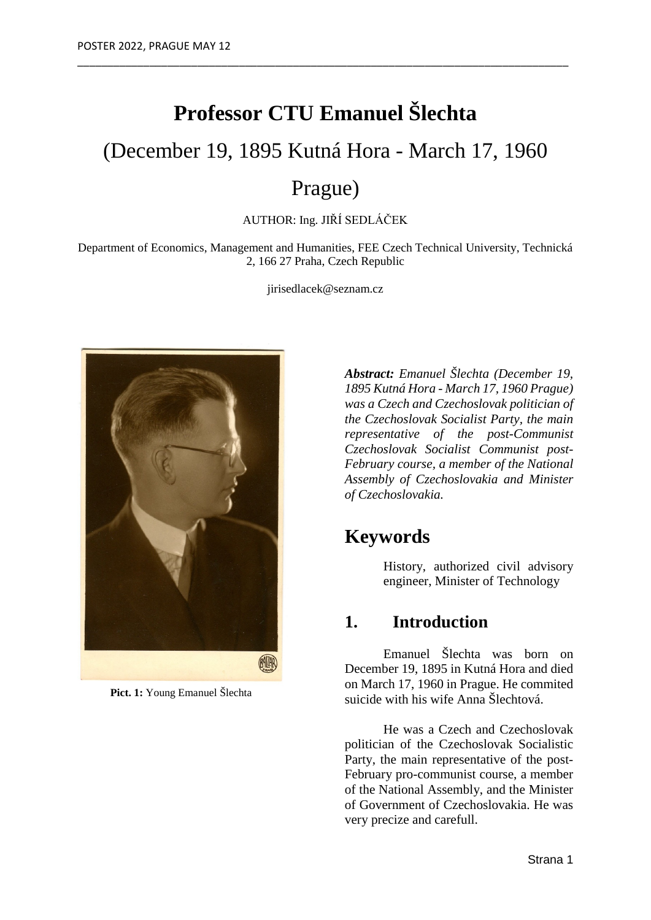# **Professor CTU Emanuel Šlechta**

\_\_\_\_\_\_\_\_\_\_\_\_\_\_\_\_\_\_\_\_\_\_\_\_\_\_\_\_\_\_\_\_\_\_\_\_\_\_\_\_\_\_\_\_\_\_\_\_\_\_\_\_\_\_\_\_\_\_\_\_\_\_\_\_\_\_\_\_\_\_\_\_\_\_\_\_\_\_\_\_\_\_

## (December 19, 1895 Kutná Hora - March 17, 1960

## Prague)

AUTHOR: Ing. JIŘÍ SEDLÁČEK

Department of Economics, Management and Humanities, FEE Czech Technical University, Technická 2, 166 27 Praha, Czech Republic

jirisedlacek@seznam.cz



 **Pict. 1:** Young Emanuel Šlechta

*Abstract: Emanuel Šlechta (December 19, 1895 Kutná Hora - March 17, 1960 Prague) was a Czech and Czechoslovak politician of the Czechoslovak Socialist Party, the main representative of the post-Communist Czechoslovak Socialist Communist post-February course, a member of the National Assembly of Czechoslovakia and Minister of Czechoslovakia.*

### **Keywords**

History, authorized civil advisory engineer, Minister of Technology

#### **1. Introduction**

Emanuel Šlechta was born on December 19, 1895 in Kutná Hora and died on March 17, 1960 in Prague. He commited suicide with his wife Anna Šlechtová.

He was a Czech and Czechoslovak politician of the Czechoslovak Socialistic Party, the main representative of the post-February pro-communist course, a member of the National Assembly, and the Minister of Government of Czechoslovakia. He was very precize and carefull.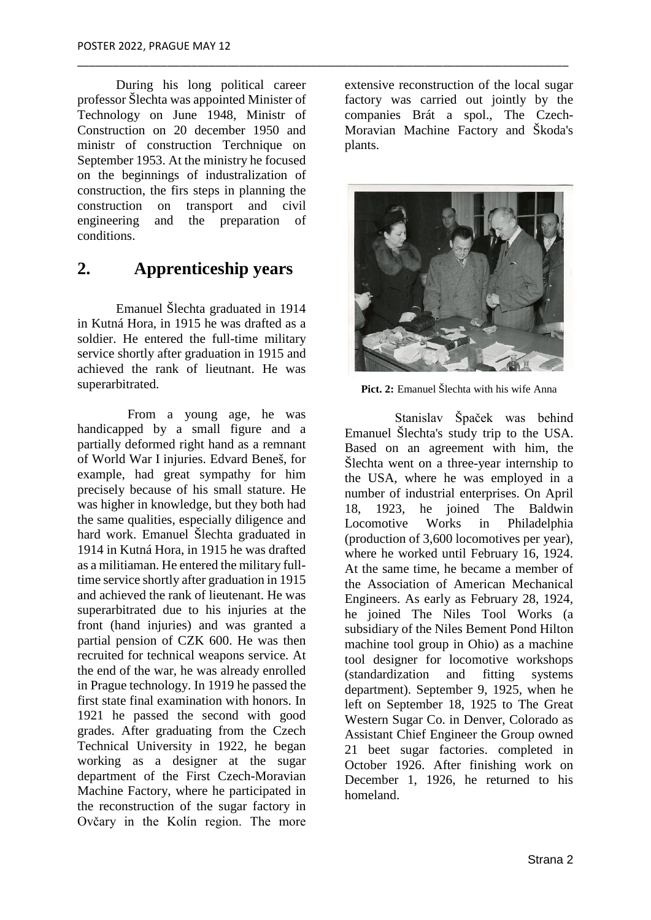During his long political career professor Šlechta was appointed Minister of Technology on June 1948, Ministr of Construction on 20 december 1950 and ministr of construction Terchnique on September 1953. At the ministry he focused on the beginnings of industralization of construction, the firs steps in planning the construction on transport and civil engineering and the preparation of conditions.

\_\_\_\_\_\_\_\_\_\_\_\_\_\_\_\_\_\_\_\_\_\_\_\_\_\_\_\_\_\_\_\_\_\_\_\_\_\_\_\_\_\_\_\_\_\_\_\_\_\_\_\_\_\_\_\_\_\_\_\_\_\_\_\_\_\_\_\_\_\_\_\_\_\_\_\_\_\_\_\_\_\_

#### **2. Apprenticeship years**

Emanuel Šlechta graduated in 1914 in Kutná Hora, in 1915 he was drafted as a soldier. He entered the full-time military service shortly after graduation in 1915 and achieved the rank of lieutnant. He was superarbitrated.

From a young age, he was handicapped by a small figure and a partially deformed right hand as a remnant of World War I injuries. Edvard Beneš, for example, had great sympathy for him precisely because of his small stature. He was higher in knowledge, but they both had the same qualities, especially diligence and hard work. Emanuel Šlechta graduated in 1914 in Kutná Hora, in 1915 he was drafted as a militiaman. He entered the military fulltime service shortly after graduation in 1915 and achieved the rank of lieutenant. He was superarbitrated due to his injuries at the front (hand injuries) and was granted a partial pension of CZK 600. He was then recruited for technical weapons service. At the end of the war, he was already enrolled in Prague technology. In 1919 he passed the first state final examination with honors. In 1921 he passed the second with good grades. After graduating from the Czech Technical University in 1922, he began working as a designer at the sugar department of the First Czech-Moravian Machine Factory, where he participated in the reconstruction of the sugar factory in Ovčary in the Kolín region. The more

extensive reconstruction of the local sugar factory was carried out jointly by the companies Brát a spol., The Czech-Moravian Machine Factory and Škoda's plants.



**Pict. 2:** Emanuel Šlechta with his wife Anna

Stanislav Špaček was behind Emanuel Šlechta's study trip to the USA. Based on an agreement with him, the Šlechta went on a three-year internship to the USA, where he was employed in a number of industrial enterprises. On April 18, 1923, he joined The Baldwin Locomotive Works in Philadelphia (production of 3,600 locomotives per year), where he worked until February 16, 1924. At the same time, he became a member of the Association of American Mechanical Engineers. As early as February 28, 1924, he joined The Niles Tool Works (a subsidiary of the Niles Bement Pond Hilton machine tool group in Ohio) as a machine tool designer for locomotive workshops (standardization and fitting systems department). September 9, 1925, when he left on September 18, 1925 to The Great Western Sugar Co. in Denver, Colorado as Assistant Chief Engineer the Group owned 21 beet sugar factories. completed in October 1926. After finishing work on December 1, 1926, he returned to his homeland.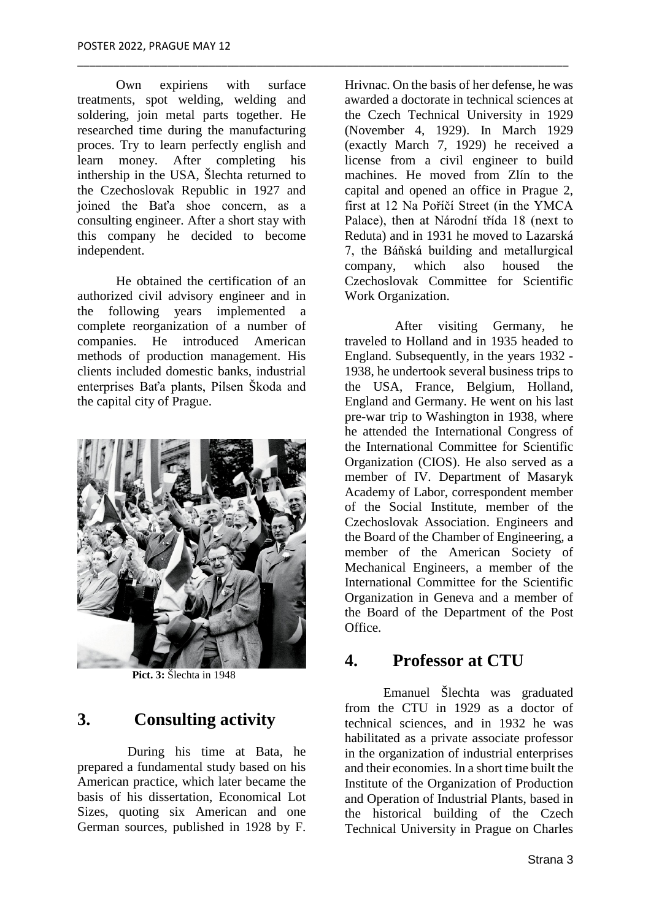Own expiriens with surface treatments, spot welding, welding and soldering, join metal parts together. He researched time during the manufacturing proces. Try to learn perfectly english and learn money. After completing his inthership in the USA, Šlechta returned to the Czechoslovak Republic in 1927 and joined the Baťa shoe concern, as a consulting engineer. After a short stay with this company he decided to become independent.

\_\_\_\_\_\_\_\_\_\_\_\_\_\_\_\_\_\_\_\_\_\_\_\_\_\_\_\_\_\_\_\_\_\_\_\_\_\_\_\_\_\_\_\_\_\_\_\_\_\_\_\_\_\_\_\_\_\_\_\_\_\_\_\_\_\_\_\_\_\_\_\_\_\_\_\_\_\_\_\_\_\_

He obtained the certification of an authorized civil advisory engineer and in the following years implemented a complete reorganization of a number of companies. He introduced American methods of production management. His clients included domestic banks, industrial enterprises Baťa plants, Pilsen Škoda and the capital city of Prague.



 **Pict. 3:** Šlechta in 1948

#### **3. Consulting activity**

During his time at Bata, he prepared a fundamental study based on his American practice, which later became the basis of his dissertation, Economical Lot Sizes, quoting six American and one German sources, published in 1928 by F.

Hrivnac. On the basis of her defense, he was awarded a doctorate in technical sciences at the Czech Technical University in 1929 (November 4, 1929). In March 1929 (exactly March 7, 1929) he received a license from a civil engineer to build machines. He moved from Zlín to the capital and opened an office in Prague 2, first at 12 Na Poříčí Street (in the YMCA Palace), then at Národní třída 18 (next to Reduta) and in 1931 he moved to Lazarská 7, the Báňská building and metallurgical company, which also housed the Czechoslovak Committee for Scientific Work Organization.

After visiting Germany, he traveled to Holland and in 1935 headed to England. Subsequently, in the years 1932 - 1938, he undertook several business trips to the USA, France, Belgium, Holland, England and Germany. He went on his last pre-war trip to Washington in 1938, where he attended the International Congress of the International Committee for Scientific Organization (CIOS). He also served as a member of IV. Department of Masaryk Academy of Labor, correspondent member of the Social Institute, member of the Czechoslovak Association. Engineers and the Board of the Chamber of Engineering, a member of the American Society of Mechanical Engineers, a member of the International Committee for the Scientific Organization in Geneva and a member of the Board of the Department of the Post Office.

#### **4. Professor at CTU**

Emanuel Šlechta was graduated from the CTU in 1929 as a doctor of technical sciences, and in 1932 he was habilitated as a private associate professor in the organization of industrial enterprises and their economies. In a short time built the Institute of the Organization of Production and Operation of Industrial Plants, based in the historical building of the Czech Technical University in Prague on Charles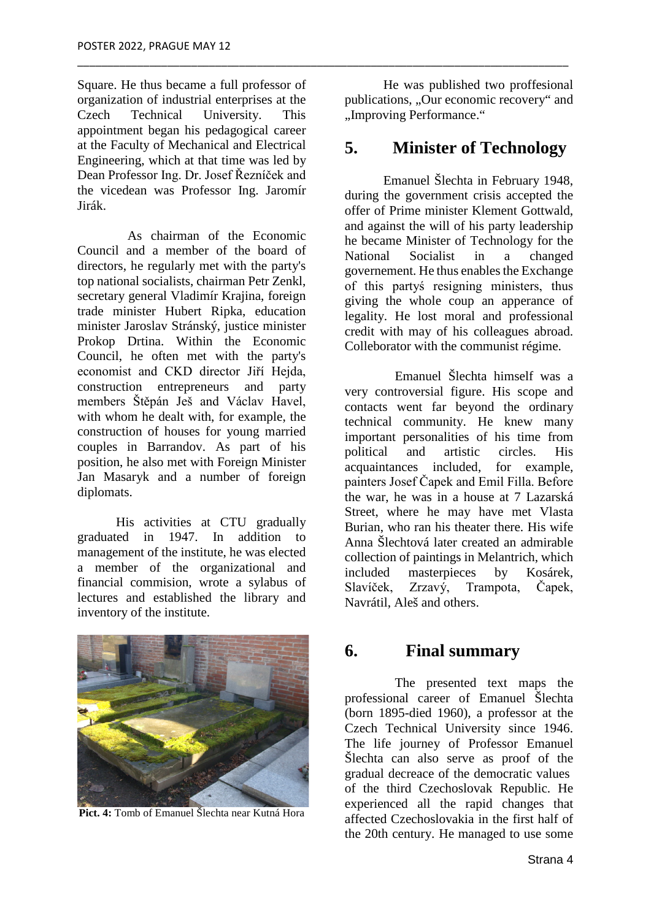Square. He thus became a full professor of organization of industrial enterprises at the Czech Technical University. This appointment began his pedagogical career at the Faculty of Mechanical and Electrical Engineering, which at that time was led by Dean Professor Ing. Dr. Josef Řezníček and the vicedean was Professor Ing. Jaromír Jirák.

\_\_\_\_\_\_\_\_\_\_\_\_\_\_\_\_\_\_\_\_\_\_\_\_\_\_\_\_\_\_\_\_\_\_\_\_\_\_\_\_\_\_\_\_\_\_\_\_\_\_\_\_\_\_\_\_\_\_\_\_\_\_\_\_\_\_\_\_\_\_\_\_\_\_\_\_\_\_\_\_\_\_

As chairman of the Economic Council and a member of the board of directors, he regularly met with the party's top national socialists, chairman Petr Zenkl, secretary general Vladimír Krajina, foreign trade minister Hubert Ripka, education minister Jaroslav Stránský, justice minister Prokop Drtina. Within the Economic Council, he often met with the party's economist and CKD director Jiří Hejda, construction entrepreneurs and party members Štěpán Ješ and Václav Havel, with whom he dealt with, for example, the construction of houses for young married couples in Barrandov. As part of his position, he also met with Foreign Minister Jan Masaryk and a number of foreign diplomats.

His activities at CTU gradually graduated in 1947. In addition to management of the institute, he was elected a member of the organizational and financial commision, wrote a sylabus of lectures and established the library and inventory of the institute.



**Pict. 4:** Tomb of Emanuel Šlechta near Kutná Hora

He was published two proffesional publications, "Our economic recovery" and "Improving Performance."

#### **5. Minister of Technology**

Emanuel Šlechta in February 1948, during the government crisis accepted the offer of Prime minister Klement Gottwald, and against the will of his party leadership he became Minister of Technology for the National Socialist in a changed governement. He thus enables the Exchange of this partyś resigning ministers, thus giving the whole coup an apperance of legality. He lost moral and professional credit with may of his colleagues abroad. Colleborator with the communist régime.

Emanuel Šlechta himself was a very controversial figure. His scope and contacts went far beyond the ordinary technical community. He knew many important personalities of his time from<br>nolitical and artistic circles. His political and artistic circles. His acquaintances included, for example, painters Josef Čapek and Emil Filla. Before the war, he was in a house at 7 Lazarská Street, where he may have met Vlasta Burian, who ran his theater there. His wife Anna Šlechtová later created an admirable collection of paintings in Melantrich, which included masterpieces by Kosárek, Slavíček, Zrzavý, Trampota, Čapek, Navrátil, Aleš and others.

#### **6. Final summary**

The presented text maps the professional career of Emanuel Šlechta (born 1895-died 1960), a professor at the Czech Technical University since 1946. The life journey of Professor Emanuel Šlechta can also serve as proof of the gradual decreace of the democratic values of the third Czechoslovak Republic. He experienced all the rapid changes that affected Czechoslovakia in the first half of the 20th century. He managed to use some